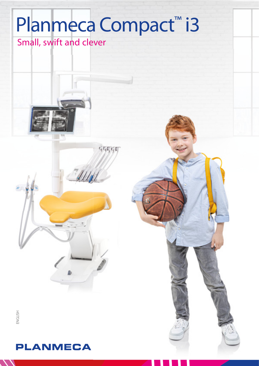# Planmeca Compact™i3

SECON

Small, swift and clever



. 38

### **PLANMECA**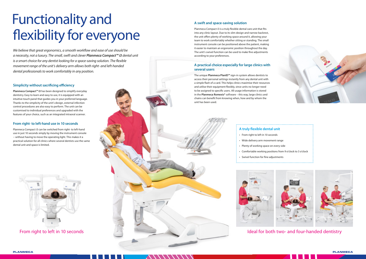## Functionality and flexibility for everyone

We believe that great ergonomics, a smooth workflow and ease of use should be a necessity, not a luxury. The small, swift and clever *Planmeca Compact™ i3* dental unit is a smart choice for any dentist looking for a space-saving solution. The flexible movement range of the unit's delivery arm allows both right- and left-handed dental professionals to work comfortably in any position.

#### **Simplicity without sacrificing efficiency**

**Planmeca Compact™ i3** has been designed to simplify everyday dentistry. Easy to learn and easy to use, it is equipped with an intuitive touch panel that guides you in your preferred language. Thanks to the simplicity of the unit's design, external infection control procedures are also easy to perform. The unit can be customised to individual preferences and upgraded with the features of your choice, such as an integrated intraoral scanner.

Planmeca Compact i3 is a truly flexible dental care unit that fits into any clinic layout. Due to its slim design and narrow backrest, the unit offers plenty of working space around it, allowing your team to work comfortably whether sitting or standing. The small instrument console can be positioned above the patient, making it easier to maintain an ergonomic position throughout the day. The unit's swivel function can be used to make fine adjustments according to your preferences.

#### **From right- to left-hand use in 10 seconds**

Planmeca Compact i3 can be switched from right- to left-hand use in just 10 seconds simply by moving the instrument console − without having to move the operating light. This makes it a practical solution for all clinics where several dentists use the same dental unit and space is limited.



#### **A swift and space-saving solution**

#### **A practical choice especially for large clinics with several users**

The unique **Planmeca PlanID™** sign-in system allows dentists to access their personal settings instantly from any dental unit with a simple flash of a card. This helps clinics maximise their resources and utilise their equipment flexibly, since units no longer need to be assigned to specific users. All usage information is stored in the **Planmeca Romexis®** software – this way, large clinics and chains can benefit from knowing when, how and by whom the unit has been used.

#### **A truly flexible dental un**

- From right to left in 10 seconds
- Wide delivery arm movement
- Plenty of working space on eve
- $\cdot$  Comfortable working positions
- Swivel function for fine adjustments





| າit                           |  |
|-------------------------------|--|
| Ś                             |  |
| range                         |  |
| ery side                      |  |
| s from 9 o'clock to 3 o'clock |  |
| mantr                         |  |

#### From right to left in 10 seconds **Ideal for both two- and four-handed dentistry**